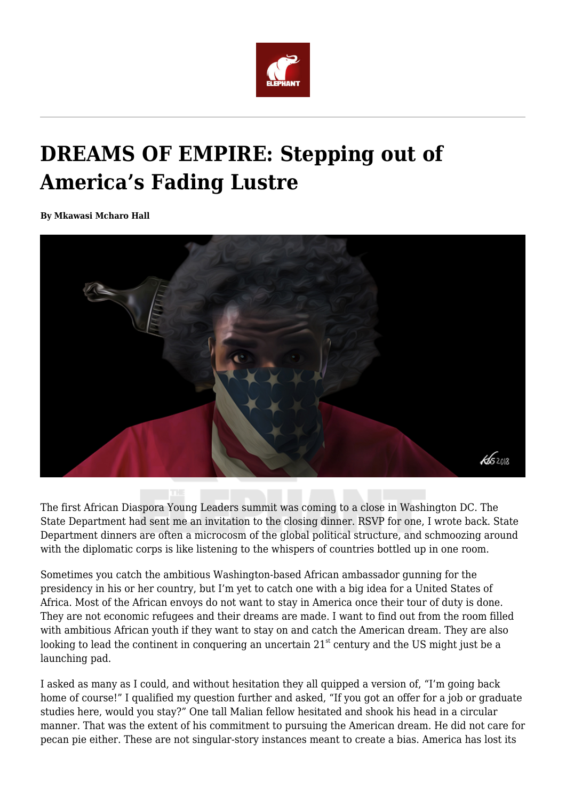

# **DREAMS OF EMPIRE: Stepping out of America's Fading Lustre**

**By Mkawasi Mcharo Hall**



The first African Diaspora Young Leaders summit was coming to a close in Washington DC. The State Department had sent me an invitation to the closing dinner. RSVP for one, I wrote back. State Department dinners are often a microcosm of the global political structure, and schmoozing around with the diplomatic corps is like listening to the whispers of countries bottled up in one room.

Sometimes you catch the ambitious Washington-based African ambassador gunning for the presidency in his or her country, but I'm yet to catch one with a big idea for a United States of Africa. Most of the African envoys do not want to stay in America once their tour of duty is done. They are not economic refugees and their dreams are made. I want to find out from the room filled with ambitious African youth if they want to stay on and catch the American dream. They are also looking to lead the continent in conquering an uncertain  $21<sup>st</sup>$  century and the US might just be a launching pad.

I asked as many as I could, and without hesitation they all quipped a version of, "I'm going back home of course!" I qualified my question further and asked, "If you got an offer for a job or graduate studies here, would you stay?" One tall Malian fellow hesitated and shook his head in a circular manner. That was the extent of his commitment to pursuing the American dream. He did not care for pecan pie either. These are not singular-story instances meant to create a bias. America has lost its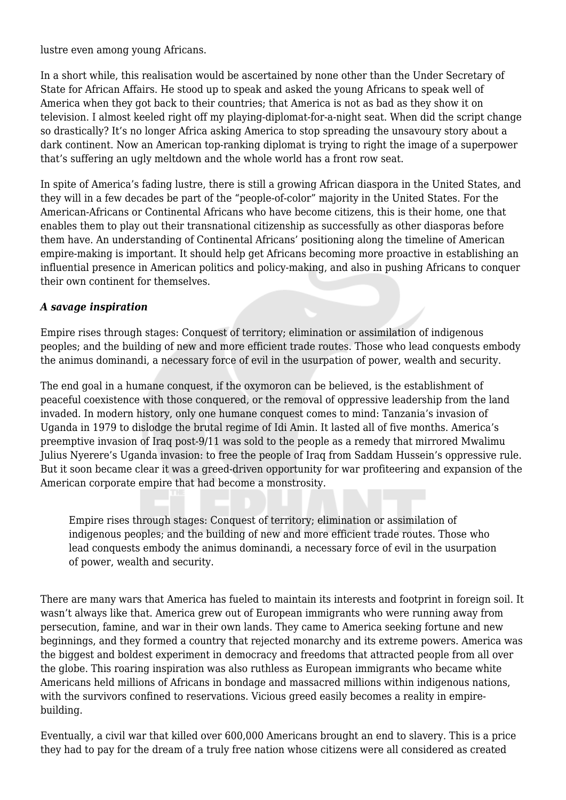lustre even among young Africans.

In a short while, this realisation would be ascertained by none other than the Under Secretary of State for African Affairs. He stood up to speak and asked the young Africans to speak well of America when they got back to their countries; that America is not as bad as they show it on television. I almost keeled right off my playing-diplomat-for-a-night seat. When did the script change so drastically? It's no longer Africa asking America to stop spreading the unsavoury story about a dark continent. Now an American top-ranking diplomat is trying to right the image of a superpower that's suffering an ugly meltdown and the whole world has a front row seat.

In spite of America's fading lustre, there is still a growing African diaspora in the United States, and they will in a few decades be part of the "people-of-color" majority in the United States. For the American-Africans or Continental Africans who have become citizens, this is their home, one that enables them to play out their transnational citizenship as successfully as other diasporas before them have. An understanding of Continental Africans' positioning along the timeline of American empire-making is important. It should help get Africans becoming more proactive in establishing an influential presence in American politics and policy-making, and also in pushing Africans to conquer their own continent for themselves.

#### *A savage inspiration*

Empire rises through stages: Conquest of territory; elimination or assimilation of indigenous peoples; and the building of new and more efficient trade routes. Those who lead conquests embody the animus dominandi, a necessary force of evil in the usurpation of power, wealth and security.

The end goal in a humane conquest, if the oxymoron can be believed, is the establishment of peaceful coexistence with those conquered, or the removal of oppressive leadership from the land invaded. In modern history, only one humane conquest comes to mind: Tanzania's invasion of Uganda in 1979 to dislodge the brutal regime of Idi Amin. It lasted all of five months. America's preemptive invasion of Iraq post-9/11 was sold to the people as a remedy that mirrored Mwalimu Julius Nyerere's Uganda invasion: to free the people of Iraq from Saddam Hussein's oppressive rule. But it soon became clear it was a greed-driven opportunity for war profiteering and expansion of the American corporate empire that had become a monstrosity.

Empire rises through stages: Conquest of territory; elimination or assimilation of indigenous peoples; and the building of new and more efficient trade routes. Those who lead conquests embody the animus dominandi, a necessary force of evil in the usurpation of power, wealth and security.

There are many wars that America has fueled to maintain its interests and footprint in foreign soil. It wasn't always like that. America grew out of European immigrants who were running away from persecution, famine, and war in their own lands. They came to America seeking fortune and new beginnings, and they formed a country that rejected monarchy and its extreme powers. America was the biggest and boldest experiment in democracy and freedoms that attracted people from all over the globe. This roaring inspiration was also ruthless as European immigrants who became white Americans held millions of Africans in bondage and massacred millions within indigenous nations, with the survivors confined to reservations. Vicious greed easily becomes a reality in empirebuilding.

Eventually, a civil war that killed over 600,000 Americans brought an end to slavery. This is a price they had to pay for the dream of a truly free nation whose citizens were all considered as created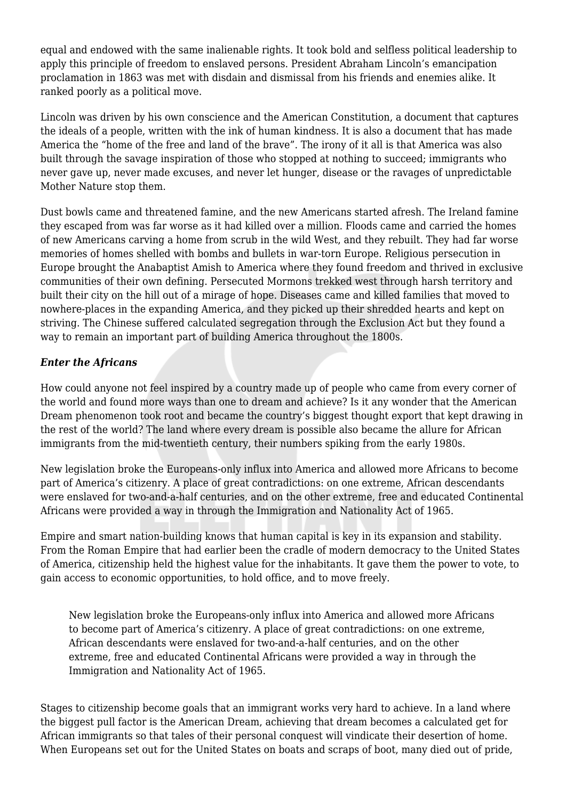equal and endowed with the same inalienable rights. It took bold and selfless political leadership to apply this principle of freedom to enslaved persons. President Abraham Lincoln's emancipation proclamation in 1863 was met with disdain and dismissal from his friends and enemies alike. It ranked poorly as a political move.

Lincoln was driven by his own conscience and the American Constitution, a document that captures the ideals of a people, written with the ink of human kindness. It is also a document that has made America the "home of the free and land of the brave". The irony of it all is that America was also built through the savage inspiration of those who stopped at nothing to succeed; immigrants who never gave up, never made excuses, and never let hunger, disease or the ravages of unpredictable Mother Nature stop them.

Dust bowls came and threatened famine, and the new Americans started afresh. The Ireland famine they escaped from was far worse as it had killed over a million. Floods came and carried the homes of new Americans carving a home from scrub in the wild West, and they rebuilt. They had far worse memories of homes shelled with bombs and bullets in war-torn Europe. Religious persecution in Europe brought the Anabaptist Amish to America where they found freedom and thrived in exclusive communities of their own defining. Persecuted Mormons trekked west through harsh territory and built their city on the hill out of a mirage of hope. Diseases came and killed families that moved to nowhere-places in the expanding America, and they picked up their shredded hearts and kept on striving. The Chinese suffered calculated segregation through the Exclusion Act but they found a way to remain an important part of building America throughout the 1800s.

# *Enter the Africans*

How could anyone not feel inspired by a country made up of people who came from every corner of the world and found more ways than one to dream and achieve? Is it any wonder that the American Dream phenomenon took root and became the country's biggest thought export that kept drawing in the rest of the world? The land where every dream is possible also became the allure for African immigrants from the mid-twentieth century, their numbers spiking from the early 1980s.

New legislation broke the Europeans-only influx into America and allowed more Africans to become part of America's citizenry. A place of great contradictions: on one extreme, African descendants were enslaved for two-and-a-half centuries, and on the other extreme, free and educated Continental Africans were provided a way in through the Immigration and Nationality Act of 1965.

Empire and smart nation-building knows that human capital is key in its expansion and stability. From the Roman Empire that had earlier been the cradle of modern democracy to the United States of America, citizenship held the highest value for the inhabitants. It gave them the power to vote, to gain access to economic opportunities, to hold office, and to move freely.

New legislation broke the Europeans-only influx into America and allowed more Africans to become part of America's citizenry. A place of great contradictions: on one extreme, African descendants were enslaved for two-and-a-half centuries, and on the other extreme, free and educated Continental Africans were provided a way in through the Immigration and Nationality Act of 1965.

Stages to citizenship become goals that an immigrant works very hard to achieve. In a land where the biggest pull factor is the American Dream, achieving that dream becomes a calculated get for African immigrants so that tales of their personal conquest will vindicate their desertion of home. When Europeans set out for the United States on boats and scraps of boot, many died out of pride,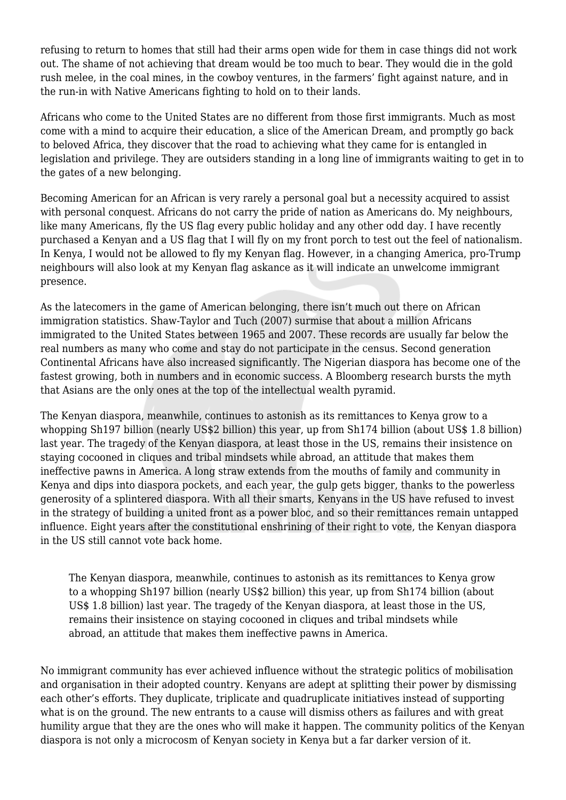refusing to return to homes that still had their arms open wide for them in case things did not work out. The shame of not achieving that dream would be too much to bear. They would die in the gold rush melee, in the coal mines, in the cowboy ventures, in the farmers' fight against nature, and in the run-in with Native Americans fighting to hold on to their lands.

Africans who come to the United States are no different from those first immigrants. Much as most come with a mind to acquire their education, a slice of the American Dream, and promptly go back to beloved Africa, they discover that the road to achieving what they came for is entangled in legislation and privilege. They are outsiders standing in a long line of immigrants waiting to get in to the gates of a new belonging.

Becoming American for an African is very rarely a personal goal but a necessity acquired to assist with personal conquest. Africans do not carry the pride of nation as Americans do. My neighbours, like many Americans, fly the US flag every public holiday and any other odd day. I have recently purchased a Kenyan and a US flag that I will fly on my front porch to test out the feel of nationalism. In Kenya, I would not be allowed to fly my Kenyan flag. However, in a changing America, pro-Trump neighbours will also look at my Kenyan flag askance as it will indicate an unwelcome immigrant presence.

As the latecomers in the game of American belonging, there isn't much out there on African immigration statistics. Shaw-Taylor and Tuch (2007) surmise that about a million Africans immigrated to the United States between 1965 and 2007. These records are usually far below the real numbers as many who come and stay do not participate in the census. Second generation Continental Africans have also increased significantly. The Nigerian diaspora has become one of the fastest growing, both in numbers and in economic success. A Bloomberg research bursts the myth that Asians are the only ones at the top of the intellectual wealth pyramid.

The Kenyan diaspora, meanwhile, continues to astonish as its remittances to Kenya grow to a whopping Sh197 billion (nearly US\$2 billion) this year, up from Sh174 billion (about US\$ 1.8 billion) last year. The tragedy of the Kenyan diaspora, at least those in the US, remains their insistence on staying cocooned in cliques and tribal mindsets while abroad, an attitude that makes them ineffective pawns in America. A long straw extends from the mouths of family and community in Kenya and dips into diaspora pockets, and each year, the gulp gets bigger, thanks to the powerless generosity of a splintered diaspora. With all their smarts, Kenyans in the US have refused to invest in the strategy of building a united front as a power bloc, and so their remittances remain untapped influence. Eight years after the constitutional enshrining of their right to vote, the Kenyan diaspora in the US still cannot vote back home.

The Kenyan diaspora, meanwhile, continues to astonish as its remittances to Kenya grow to a whopping Sh197 billion (nearly US\$2 billion) this year, up from Sh174 billion (about US\$ 1.8 billion) last year. The tragedy of the Kenyan diaspora, at least those in the US, remains their insistence on staying cocooned in cliques and tribal mindsets while abroad, an attitude that makes them ineffective pawns in America.

No immigrant community has ever achieved influence without the strategic politics of mobilisation and organisation in their adopted country. Kenyans are adept at splitting their power by dismissing each other's efforts. They duplicate, triplicate and quadruplicate initiatives instead of supporting what is on the ground. The new entrants to a cause will dismiss others as failures and with great humility argue that they are the ones who will make it happen. The community politics of the Kenyan diaspora is not only a microcosm of Kenyan society in Kenya but a far darker version of it.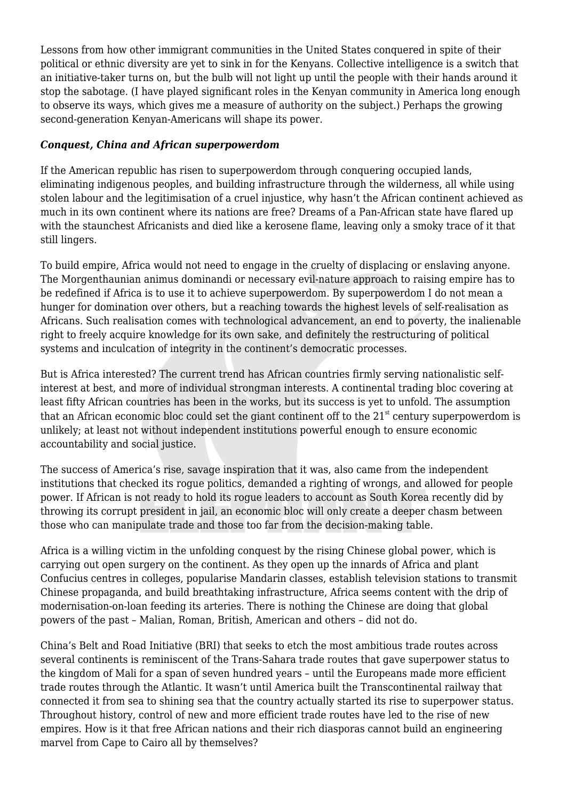Lessons from how other immigrant communities in the United States conquered in spite of their political or ethnic diversity are yet to sink in for the Kenyans. Collective intelligence is a switch that an initiative-taker turns on, but the bulb will not light up until the people with their hands around it stop the sabotage. (I have played significant roles in the Kenyan community in America long enough to observe its ways, which gives me a measure of authority on the subject.) Perhaps the growing second-generation Kenyan-Americans will shape its power.

# *Conquest, China and African superpowerdom*

If the American republic has risen to superpowerdom through conquering occupied lands, eliminating indigenous peoples, and building infrastructure through the wilderness, all while using stolen labour and the legitimisation of a cruel injustice, why hasn't the African continent achieved as much in its own continent where its nations are free? Dreams of a Pan-African state have flared up with the staunchest Africanists and died like a kerosene flame, leaving only a smoky trace of it that still lingers.

To build empire, Africa would not need to engage in the cruelty of displacing or enslaving anyone. The Morgenthaunian animus dominandi or necessary evil-nature approach to raising empire has to be redefined if Africa is to use it to achieve superpowerdom. By superpowerdom I do not mean a hunger for domination over others, but a reaching towards the highest levels of self-realisation as Africans. Such realisation comes with technological advancement, an end to poverty, the inalienable right to freely acquire knowledge for its own sake, and definitely the restructuring of political systems and inculcation of integrity in the continent's democratic processes.

But is Africa interested? The current trend has African countries firmly serving nationalistic selfinterest at best, and more of individual strongman interests. A continental trading bloc covering at least fifty African countries has been in the works, but its success is yet to unfold. The assumption that an African economic bloc could set the giant continent off to the  $21<sup>st</sup>$  century superpowerdom is unlikely; at least not without independent institutions powerful enough to ensure economic accountability and social justice.

The success of America's rise, savage inspiration that it was, also came from the independent institutions that checked its rogue politics, demanded a righting of wrongs, and allowed for people power. If African is not ready to hold its rogue leaders to account as South Korea recently did by throwing its corrupt president in jail, an economic bloc will only create a deeper chasm between those who can manipulate trade and those too far from the decision-making table.

Africa is a willing victim in the unfolding conquest by the rising Chinese global power, which is carrying out open surgery on the continent. As they open up the innards of Africa and plant Confucius centres in colleges, popularise Mandarin classes, establish television stations to transmit Chinese propaganda, and build breathtaking infrastructure, Africa seems content with the drip of modernisation-on-loan feeding its arteries. There is nothing the Chinese are doing that global powers of the past – Malian, Roman, British, American and others – did not do.

China's Belt and Road Initiative (BRI) that seeks to etch the most ambitious trade routes across several continents is reminiscent of the Trans-Sahara trade routes that gave superpower status to the kingdom of Mali for a span of seven hundred years – until the Europeans made more efficient trade routes through the Atlantic. It wasn't until America built the Transcontinental railway that connected it from sea to shining sea that the country actually started its rise to superpower status. Throughout history, control of new and more efficient trade routes have led to the rise of new empires. How is it that free African nations and their rich diasporas cannot build an engineering marvel from Cape to Cairo all by themselves?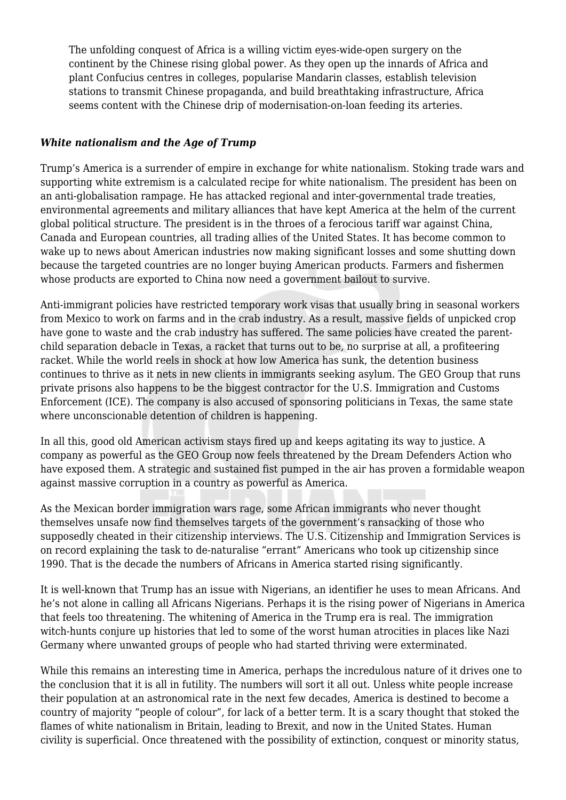The unfolding conquest of Africa is a willing victim eyes-wide-open surgery on the continent by the Chinese rising global power. As they open up the innards of Africa and plant Confucius centres in colleges, popularise Mandarin classes, establish television stations to transmit Chinese propaganda, and build breathtaking infrastructure, Africa seems content with the Chinese drip of modernisation-on-loan feeding its arteries.

### *White nationalism and the Age of Trump*

Trump's America is a surrender of empire in exchange for white nationalism. Stoking trade wars and supporting white extremism is a calculated recipe for white nationalism. The president has been on an anti-globalisation rampage. He has attacked regional and inter-governmental trade treaties, environmental agreements and military alliances that have kept America at the helm of the current global political structure. The president is in the throes of a ferocious tariff war against China, Canada and European countries, all trading allies of the United States. It has become common to wake up to news about American industries now making significant losses and some shutting down because the targeted countries are no longer buying American products. Farmers and fishermen whose products are exported to China now need a government bailout to survive.

Anti-immigrant policies have restricted temporary work visas that usually bring in seasonal workers from Mexico to work on farms and in the crab industry. As a result, massive fields of unpicked crop have gone to waste and the crab industry has suffered. The same policies have created the parentchild separation debacle in Texas, a racket that turns out to be, no surprise at all, a profiteering racket. While the world reels in shock at how low America has sunk, the detention business continues to thrive as it nets in new clients in immigrants seeking asylum. The GEO Group that runs private prisons also happens to be the biggest contractor for the U.S. Immigration and Customs Enforcement (ICE). The company is also accused of sponsoring politicians in Texas, the same state where unconscionable detention of children is happening.

In all this, good old American activism stays fired up and keeps agitating its way to justice. A company as powerful as the GEO Group now feels threatened by the Dream Defenders Action who have exposed them. A strategic and sustained fist pumped in the air has proven a formidable weapon against massive corruption in a country as powerful as America.

As the Mexican border immigration wars rage, some African immigrants who never thought themselves unsafe now find themselves targets of the government's ransacking of those who supposedly cheated in their citizenship interviews. The U.S. Citizenship and Immigration Services is on record explaining the task to de-naturalise "errant" Americans who took up citizenship since 1990. That is the decade the numbers of Africans in America started rising significantly.

It is well-known that Trump has an issue with Nigerians, an identifier he uses to mean Africans. And he's not alone in calling all Africans Nigerians. Perhaps it is the rising power of Nigerians in America that feels too threatening. The whitening of America in the Trump era is real. The immigration witch-hunts conjure up histories that led to some of the worst human atrocities in places like Nazi Germany where unwanted groups of people who had started thriving were exterminated.

While this remains an interesting time in America, perhaps the incredulous nature of it drives one to the conclusion that it is all in futility. The numbers will sort it all out. Unless white people increase their population at an astronomical rate in the next few decades, America is destined to become a country of majority "people of colour", for lack of a better term. It is a scary thought that stoked the flames of white nationalism in Britain, leading to Brexit, and now in the United States. Human civility is superficial. Once threatened with the possibility of extinction, conquest or minority status,